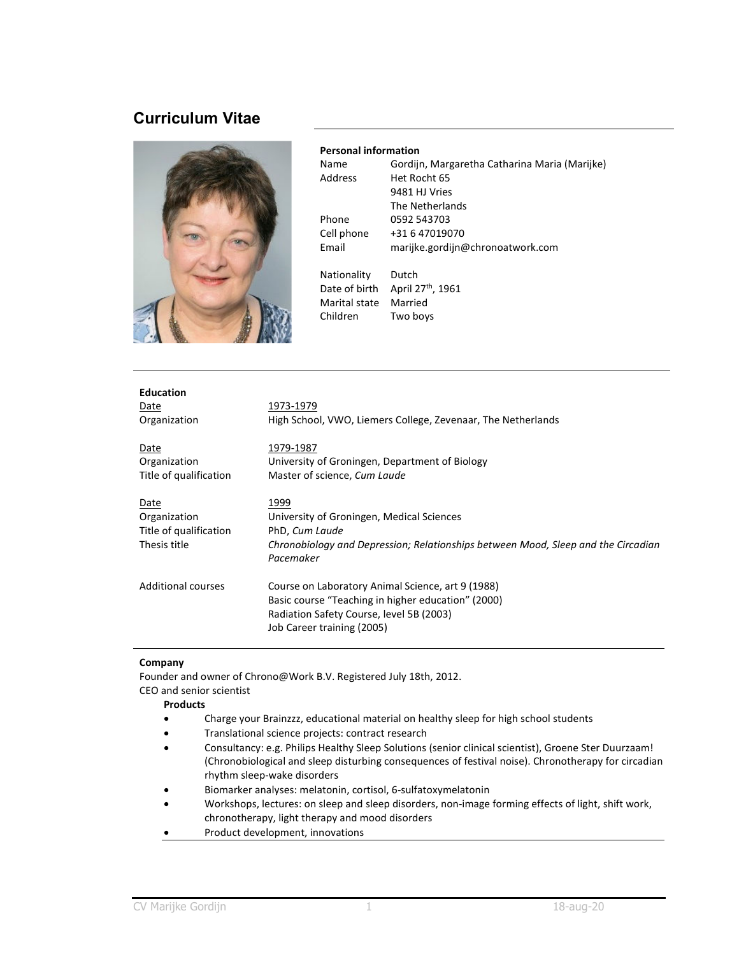# **Curriculum Vitae**



#### **Personal information**

| Name          | Gordijn, Margaretha Catharina Maria (Marijke) |
|---------------|-----------------------------------------------|
| Address       | Het Rocht 65                                  |
|               | 9481 HJ Vries                                 |
|               | The Netherlands                               |
| Phone         | 0592 543703                                   |
| Cell phone    | +31 6 47019070                                |
| Email         | marijke.gordijn@chronoatwork.com              |
| Nationality   | Dutch                                         |
| Date of birth | April 27 <sup>th</sup> , 1961                 |
| Marital state | Married                                       |
| Children      |                                               |
|               | Two boys                                      |

| <b>Education</b>          |                                                                                                |
|---------------------------|------------------------------------------------------------------------------------------------|
| <u>Date</u>               | 1973-1979                                                                                      |
| Organization              | High School, VWO, Liemers College, Zevenaar, The Netherlands                                   |
| Date                      | 1979-1987                                                                                      |
| Organization              | University of Groningen, Department of Biology                                                 |
| Title of qualification    | Master of science, Cum Laude                                                                   |
| <u>Date</u>               | 1999                                                                                           |
| Organization              | University of Groningen, Medical Sciences                                                      |
| Title of qualification    | PhD, Cum Laude                                                                                 |
| Thesis title              | Chronobiology and Depression; Relationships between Mood, Sleep and the Circadian<br>Pacemaker |
| <b>Additional courses</b> | Course on Laboratory Animal Science, art 9 (1988)                                              |
|                           | Basic course "Teaching in higher education" (2000)                                             |
|                           | Radiation Safety Course, level 5B (2003)                                                       |
|                           | Job Career training (2005)                                                                     |

# **Company**

Founder and owner of Chrono@Work B.V. Registered July 18th, 2012. CEO and senior scientist

### **Products**

- Charge your Brainzzz, educational material on healthy sleep for high school students
- Translational science projects: contract research
- Consultancy: e.g. Philips Healthy Sleep Solutions (senior clinical scientist), Groene Ster Duurzaam! (Chronobiological and sleep disturbing consequences of festival noise). Chronotherapy for circadian rhythm sleep-wake disorders
- Biomarker analyses: melatonin, cortisol, 6-sulfatoxymelatonin
- Workshops, lectures: on sleep and sleep disorders, non-image forming effects of light, shift work, chronotherapy, light therapy and mood disorders
- Product development, innovations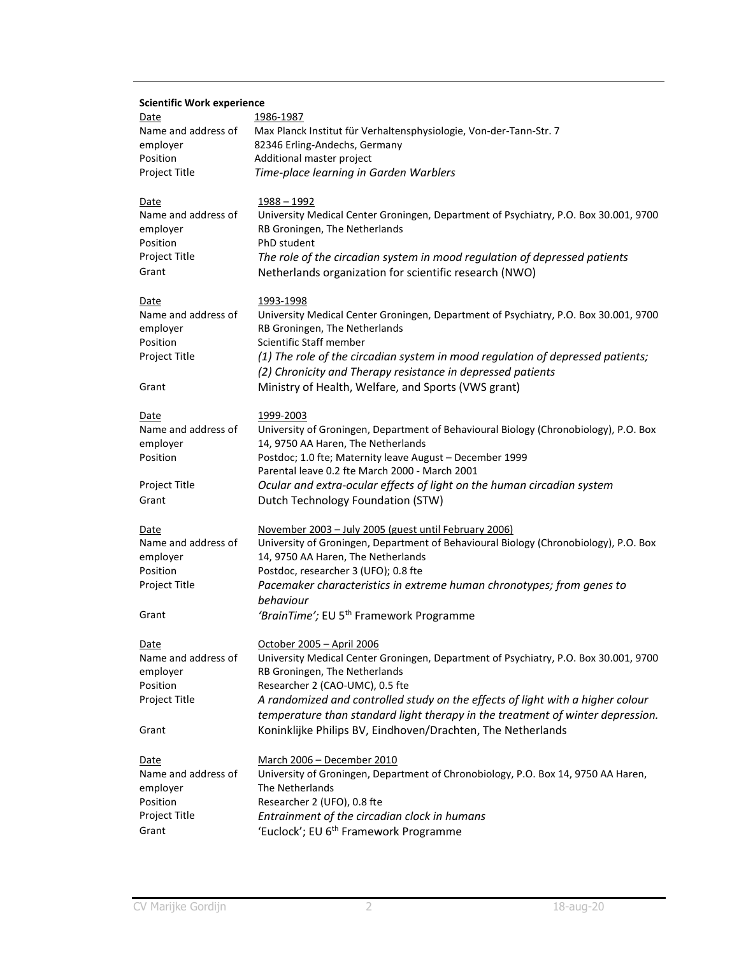| <b>Scientific Work experience</b> |                                                                                                   |  |
|-----------------------------------|---------------------------------------------------------------------------------------------------|--|
| Date                              | 1986-1987                                                                                         |  |
| Name and address of               | Max Planck Institut für Verhaltensphysiologie, Von-der-Tann-Str. 7                                |  |
| employer                          | 82346 Erling-Andechs, Germany                                                                     |  |
| Position                          | Additional master project                                                                         |  |
| Project Title                     | Time-place learning in Garden Warblers                                                            |  |
|                                   | 1988-1992                                                                                         |  |
| Date<br>Name and address of       | University Medical Center Groningen, Department of Psychiatry, P.O. Box 30.001, 9700              |  |
| employer                          | RB Groningen, The Netherlands                                                                     |  |
| Position                          | PhD student                                                                                       |  |
| Project Title                     | The role of the circadian system in mood regulation of depressed patients                         |  |
| Grant                             | Netherlands organization for scientific research (NWO)                                            |  |
|                                   |                                                                                                   |  |
| <b>Date</b>                       | 1993-1998                                                                                         |  |
| Name and address of               | University Medical Center Groningen, Department of Psychiatry, P.O. Box 30.001, 9700              |  |
| employer                          | RB Groningen, The Netherlands                                                                     |  |
| Position                          | Scientific Staff member                                                                           |  |
| Project Title                     | (1) The role of the circadian system in mood regulation of depressed patients;                    |  |
|                                   | (2) Chronicity and Therapy resistance in depressed patients                                       |  |
| Grant                             | Ministry of Health, Welfare, and Sports (VWS grant)                                               |  |
|                                   |                                                                                                   |  |
| Date<br>Name and address of       | 1999-2003<br>University of Groningen, Department of Behavioural Biology (Chronobiology), P.O. Box |  |
| employer                          | 14, 9750 AA Haren, The Netherlands                                                                |  |
| Position                          | Postdoc; 1.0 fte; Maternity leave August - December 1999                                          |  |
|                                   | Parental leave 0.2 fte March 2000 - March 2001                                                    |  |
| Project Title                     | Ocular and extra-ocular effects of light on the human circadian system                            |  |
| Grant                             | Dutch Technology Foundation (STW)                                                                 |  |
|                                   |                                                                                                   |  |
| Date                              | November 2003 - July 2005 (guest until February 2006)                                             |  |
| Name and address of               | University of Groningen, Department of Behavioural Biology (Chronobiology), P.O. Box              |  |
| employer                          | 14, 9750 AA Haren, The Netherlands                                                                |  |
| Position                          | Postdoc, researcher 3 (UFO); 0.8 fte                                                              |  |
| Project Title                     | Pacemaker characteristics in extreme human chronotypes; from genes to                             |  |
|                                   | behaviour                                                                                         |  |
| Grant                             | 'BrainTime'; EU 5 <sup>th</sup> Framework Programme                                               |  |
| Date                              | October 2005 - April 2006                                                                         |  |
| Name and address of               | University Medical Center Groningen, Department of Psychiatry, P.O. Box 30.001, 9700              |  |
| employer                          | RB Groningen, The Netherlands                                                                     |  |
| Position                          | Researcher 2 (CAO-UMC), 0.5 fte                                                                   |  |
| Project Title                     | A randomized and controlled study on the effects of light with a higher colour                    |  |
|                                   | temperature than standard light therapy in the treatment of winter depression.                    |  |
| Grant                             | Koninklijke Philips BV, Eindhoven/Drachten, The Netherlands                                       |  |
|                                   |                                                                                                   |  |
| Date                              | March 2006 - December 2010                                                                        |  |
| Name and address of               | University of Groningen, Department of Chronobiology, P.O. Box 14, 9750 AA Haren,                 |  |
| employer                          | The Netherlands                                                                                   |  |
| Position                          | Researcher 2 (UFO), 0.8 fte                                                                       |  |
| Project Title                     | Entrainment of the circadian clock in humans                                                      |  |
| Grant                             | 'Euclock'; EU 6 <sup>th</sup> Framework Programme                                                 |  |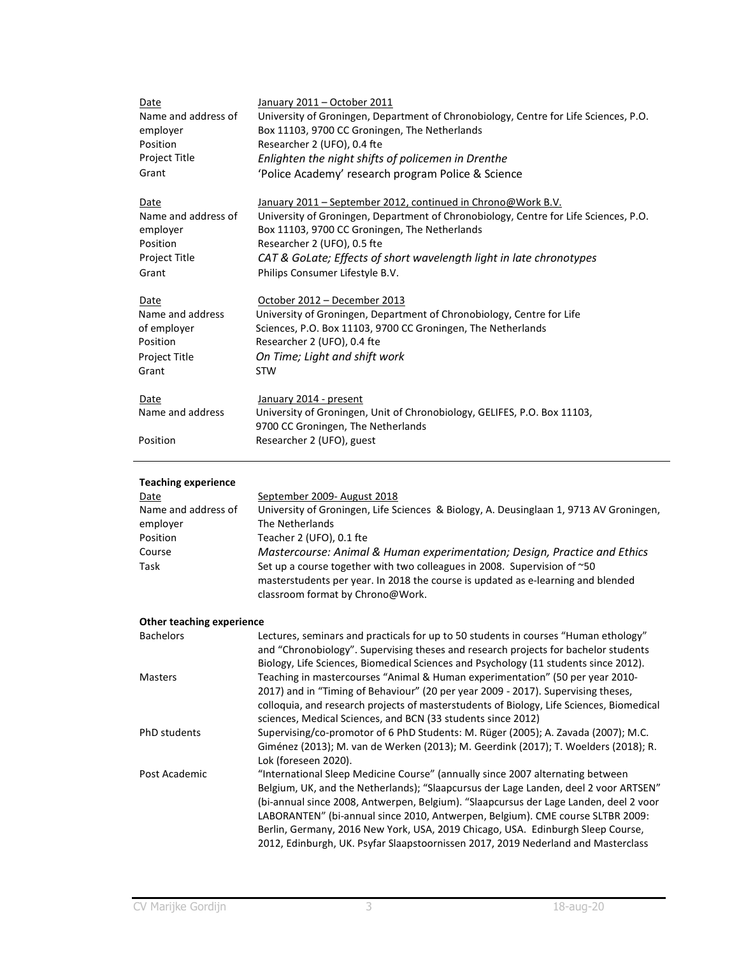| Date<br>Name and address of<br>employer<br>Position<br>Project Title<br>Grant | January 2011 – October 2011<br>University of Groningen, Department of Chronobiology, Centre for Life Sciences, P.O.<br>Box 11103, 9700 CC Groningen, The Netherlands<br>Researcher 2 (UFO), 0.4 fte<br>Enlighten the night shifts of policemen in Drenthe<br>'Police Academy' research program Police & Science                                |
|-------------------------------------------------------------------------------|------------------------------------------------------------------------------------------------------------------------------------------------------------------------------------------------------------------------------------------------------------------------------------------------------------------------------------------------|
| Date<br>Name and address of<br>employer<br>Position<br>Project Title<br>Grant | January 2011 - September 2012, continued in Chrono@Work B.V.<br>University of Groningen, Department of Chronobiology, Centre for Life Sciences, P.O.<br>Box 11103, 9700 CC Groningen, The Netherlands<br>Researcher 2 (UFO), 0.5 fte<br>CAT & GoLate; Effects of short wavelength light in late chronotypes<br>Philips Consumer Lifestyle B.V. |
| Date<br>Name and address<br>of employer<br>Position<br>Project Title<br>Grant | October 2012 - December 2013<br>University of Groningen, Department of Chronobiology, Centre for Life<br>Sciences, P.O. Box 11103, 9700 CC Groningen, The Netherlands<br>Researcher 2 (UFO), 0.4 fte<br>On Time; Light and shift work<br>STW                                                                                                   |
| Date<br>Name and address<br>Position                                          | January 2014 - present<br>University of Groningen, Unit of Chronobiology, GELIFES, P.O. Box 11103,<br>9700 CC Groningen, The Netherlands<br>Researcher 2 (UFO), guest                                                                                                                                                                          |
|                                                                               |                                                                                                                                                                                                                                                                                                                                                |
| <b>Teaching experience</b><br>Date                                            |                                                                                                                                                                                                                                                                                                                                                |
|                                                                               |                                                                                                                                                                                                                                                                                                                                                |
| Name and address of                                                           | September 2009- August 2018<br>University of Groningen, Life Sciences & Biology, A. Deusinglaan 1, 9713 AV Groningen,                                                                                                                                                                                                                          |
| employer                                                                      | The Netherlands                                                                                                                                                                                                                                                                                                                                |
| Position                                                                      | Teacher 2 (UFO), 0.1 fte                                                                                                                                                                                                                                                                                                                       |
| Course<br>Task                                                                | Mastercourse: Animal & Human experimentation; Design, Practice and Ethics<br>Set up a course together with two colleagues in 2008. Supervision of ~50<br>masterstudents per year. In 2018 the course is updated as e-learning and blended<br>classroom format by Chrono@Work.                                                                  |
| Other teaching experience                                                     |                                                                                                                                                                                                                                                                                                                                                |
| <b>Bachelors</b>                                                              | Lectures, seminars and practicals for up to 50 students in courses "Human ethology"<br>and "Chronobiology". Supervising theses and research projects for bachelor students<br>Biology, Life Sciences, Biomedical Sciences and Psychology (11 students since 2012).                                                                             |
| Masters                                                                       | Teaching in mastercourses "Animal & Human experimentation" (50 per year 2010-<br>2017) and in "Timing of Behaviour" (20 per year 2009 - 2017). Supervising theses,<br>colloquia, and research projects of masterstudents of Biology, Life Sciences, Biomedical                                                                                 |
| PhD students                                                                  | sciences, Medical Sciences, and BCN (33 students since 2012)<br>Supervising/co-promotor of 6 PhD Students: M. Rüger (2005); A. Zavada (2007); M.C.<br>Giménez (2013); M. van de Werken (2013); M. Geerdink (2017); T. Woelders (2018); R.<br>Lok (foreseen 2020).                                                                              |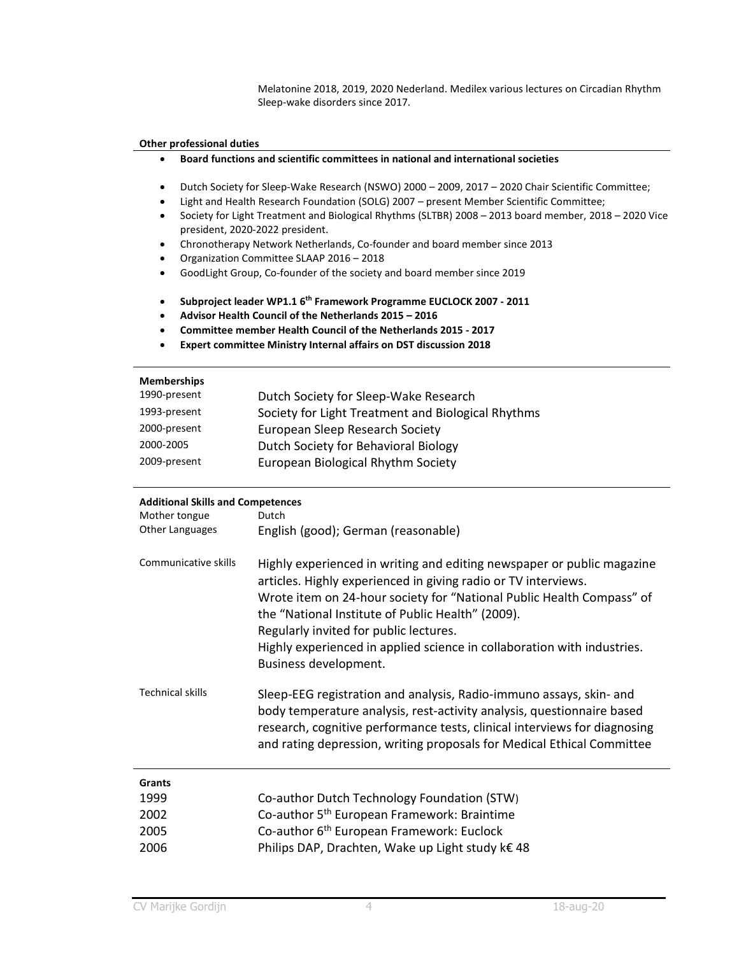Melatonine 2018, 2019, 2020 Nederland. Medilex various lectures on Circadian Rhythm Sleep-wake disorders since 2017.

### **Other professional duties**

- **Board functions and scientific committees in national and international societies**
- Dutch Society for Sleep-Wake Research (NSWO) 2000 2009, 2017 2020 Chair Scientific Committee;
- Light and Health Research Foundation (SOLG) 2007 present Member Scientific Committee;
- Society for Light Treatment and Biological Rhythms (SLTBR) 2008 2013 board member, 2018 2020 Vice president, 2020-2022 president.
- Chronotherapy Network Netherlands, Co-founder and board member since 2013
- Organization Committee SLAAP 2016 2018
- GoodLight Group, Co-founder of the society and board member since 2019
- **Subproject leader WP1.1 6th Framework Programme EUCLOCK 2007 - 2011**
- **Advisor Health Council of the Netherlands 2015 2016**
- **Committee member Health Council of the Netherlands 2015 - 2017**
- **Expert committee Ministry Internal affairs on DST discussion 2018**

### **Memberships**

| 1990-present | Dutch Society for Sleep-Wake Research              |
|--------------|----------------------------------------------------|
| 1993-present | Society for Light Treatment and Biological Rhythms |
| 2000-present | European Sleep Research Society                    |
| 2000-2005    | Dutch Society for Behavioral Biology               |
| 2009-present | European Biological Rhythm Society                 |

### **Additional Skills and Competences**

| Mother tongue<br>Other Languages | Dutch<br>English (good); German (reasonable)                                                                                                                                                                                                                                                                                                                                                                         |  |  |
|----------------------------------|----------------------------------------------------------------------------------------------------------------------------------------------------------------------------------------------------------------------------------------------------------------------------------------------------------------------------------------------------------------------------------------------------------------------|--|--|
| Communicative skills             | Highly experienced in writing and editing newspaper or public magazine<br>articles. Highly experienced in giving radio or TV interviews.<br>Wrote item on 24-hour society for "National Public Health Compass" of<br>the "National Institute of Public Health" (2009).<br>Regularly invited for public lectures.<br>Highly experienced in applied science in collaboration with industries.<br>Business development. |  |  |
| <b>Technical skills</b>          | Sleep-EEG registration and analysis, Radio-immuno assays, skin- and<br>body temperature analysis, rest-activity analysis, questionnaire based<br>research, cognitive performance tests, clinical interviews for diagnosing<br>and rating depression, writing proposals for Medical Ethical Committee                                                                                                                 |  |  |
| <b>Grants</b>                    |                                                                                                                                                                                                                                                                                                                                                                                                                      |  |  |
| 1999                             | Co-author Dutch Technology Foundation (STW)                                                                                                                                                                                                                                                                                                                                                                          |  |  |
| 2002                             | Co-author 5 <sup>th</sup> European Framework: Braintime                                                                                                                                                                                                                                                                                                                                                              |  |  |
| 2005                             | Co-author 6 <sup>th</sup> European Framework: Euclock                                                                                                                                                                                                                                                                                                                                                                |  |  |
| 2006                             | Philips DAP, Drachten, Wake up Light study k€ 48                                                                                                                                                                                                                                                                                                                                                                     |  |  |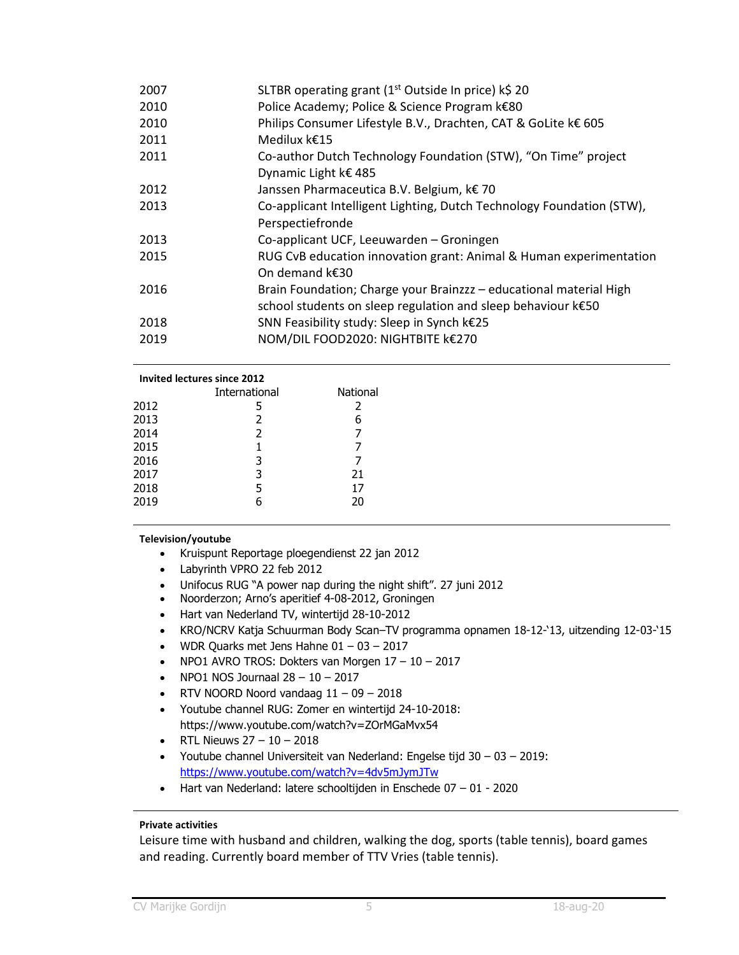| 2007 | SLTBR operating grant (1 <sup>st</sup> Outside In price) k\$ 20                                                                    |
|------|------------------------------------------------------------------------------------------------------------------------------------|
| 2010 | Police Academy; Police & Science Program k€80                                                                                      |
| 2010 | Philips Consumer Lifestyle B.V., Drachten, CAT & GoLite k€ 605                                                                     |
| 2011 | Medilux k€15                                                                                                                       |
| 2011 | Co-author Dutch Technology Foundation (STW), "On Time" project<br>Dynamic Light k€ 485                                             |
| 2012 | Janssen Pharmaceutica B.V. Belgium, k€ 70                                                                                          |
|      |                                                                                                                                    |
| 2013 | Co-applicant Intelligent Lighting, Dutch Technology Foundation (STW),<br>Perspectiefronde                                          |
| 2013 | Co-applicant UCF, Leeuwarden - Groningen                                                                                           |
| 2015 | RUG CvB education innovation grant: Animal & Human experimentation<br>On demand $k \in \{30\}$                                     |
| 2016 | Brain Foundation; Charge your Brainzzz – educational material High<br>school students on sleep regulation and sleep behaviour k€50 |
| 2018 | SNN Feasibility study: Sleep in Synch k€25                                                                                         |
| 2019 | NOM/DIL FOOD2020: NIGHTBITE k€270                                                                                                  |

| <b>Invited lectures since 2012</b> |               |                 |  |
|------------------------------------|---------------|-----------------|--|
|                                    | International | <b>National</b> |  |
| 2012                               | 5             | 2               |  |
| 2013                               | 2             | 6               |  |
| 2014                               | 2             | 7               |  |
| 2015                               |               |                 |  |
| 2016                               | 3             |                 |  |
| 2017                               | 3             | 21              |  |
| 2018                               | 5             | 17              |  |
| 2019                               |               | 20              |  |
|                                    |               |                 |  |

# **Television/youtube**

- Kruispunt Reportage ploegendienst 22 jan 2012
- Labyrinth VPRO 22 feb 2012
- Unifocus RUG "A power nap during the night shift". 27 juni 2012
- Noorderzon; Arno's aperitief 4-08-2012, Groningen
- Hart van Nederland TV, wintertijd 28-10-2012
- KRO/NCRV Katja Schuurman Body Scan–TV programma opnamen 18-12-'13, uitzending 12-03-'15
- WDR Quarks met Jens Hahne  $01 03 2017$
- NPO1 AVRO TROS: Dokters van Morgen  $17 10 2017$
- NPO1 NOS Journaal  $28 10 2017$
- **RTV NOORD Noord vandaag**  $11 09 2018$
- Youtube channel RUG: Zomer en wintertijd 24-10-2018: https://www.youtube.com/watch?v=ZOrMGaMvx54
- RTL Nieuws 27 10 2018
- Youtube channel Universiteit van Nederland: Engelse tijd 30 03 2019: https://www.youtube.com/watch?v=4dv5mJymJTw
- Hart van Nederland: latere schooltijden in Enschede 07 01 2020

# **Private activities**

Leisure time with husband and children, walking the dog, sports (table tennis), board games and reading. Currently board member of TTV Vries (table tennis).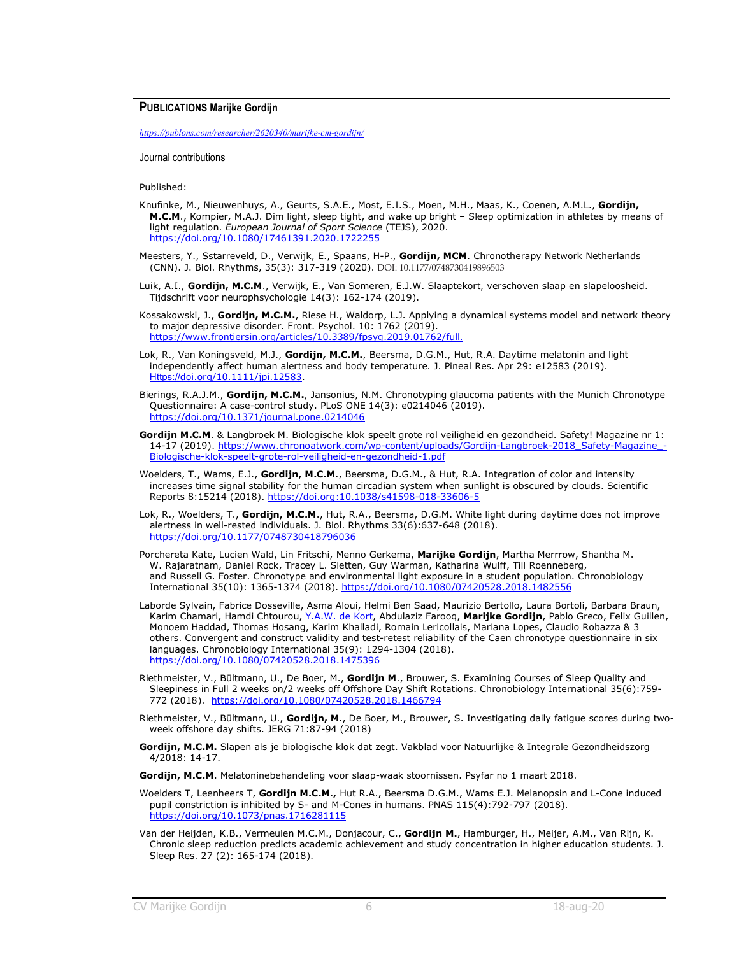### **PUBLICATIONS Marijke Gordijn**

*https://publons.com/researcher/2620340/marijke-cm-gordijn/*

#### Journal contributions

#### Published:

- Knufinke, M., Nieuwenhuys, A., Geurts, S.A.E., Most, E.I.S., Moen, M.H., Maas, K., Coenen, A.M.L., **Gordijn, M.C.M**., Kompier, M.A.J. Dim light, sleep tight, and wake up bright – Sleep optimization in athletes by means of light regulation. *European Journal of Sport Science* (TEJS), 2020. https://doi.org/10.1080/17461391.2020.1722255
- Meesters, Y., Sstarreveld, D., Verwijk, E., Spaans, H-P., **Gordijn, MCM**. Chronotherapy Network Netherlands (CNN). J. Biol. Rhythms, 35(3): 317-319 (2020). DOI: 10.1177/0748730419896503
- Luik, A.I., **Gordijn, M.C.M**., Verwijk, E., Van Someren, E.J.W. Slaaptekort, verschoven slaap en slapeloosheid. Tijdschrift voor neurophsychologie 14(3): 162-174 (2019).
- Kossakowski, J., **Gordijn, M.C.M.**, Riese H., Waldorp, L.J. Applying a dynamical systems model and network theory to major depressive disorder. Front. Psychol. 10: 1762 (2019). https://www.frontiersin.org/articles/10.3389/fpsyg.2019.01762/full.
- Lok, R., Van Koningsveld, M.J., **Gordijn, M.C.M.**, Beersma, D.G.M., Hut, R.A. Daytime melatonin and light independently affect human alertness and body temperature. J. Pineal Res. Apr 29: e12583 (2019). Https://doi.org/10.1111/jpi.12583.
- Bierings, R.A.J.M., **Gordijn, M.C.M.**, Jansonius, N.M. Chronotyping glaucoma patients with the Munich Chronotype Questionnaire: A case-control study. PLoS ONE 14(3): e0214046 (2019). https://doi.org/10.1371/journal.pone.0214046
- **Gordijn M.C.M**. & Langbroek M. Biologische klok speelt grote rol veiligheid en gezondheid. Safety! Magazine nr 1: 14-17 (2019). https://www.chronoatwork.com/wp-content/uploads/Gordijn-Langbroek-2018\_Safety-Magazine\_-Biologische-klok-speelt-grote-rol-veiligheid-en-gezondheid-1.pdf
- Woelders, T., Wams, E.J., **Gordijn, M.C.M**., Beersma, D.G.M., & Hut, R.A. Integration of color and intensity increases time signal stability for the human circadian system when sunlight is obscured by clouds. Scientific Reports 8:15214 (2018). https://doi.org:10.1038/s41598-018-33606-5
- Lok, R., Woelders, T., **Gordijn, M.C.M**., Hut, R.A., Beersma, D.G.M. White light during daytime does not improve alertness in well-rested individuals. J. Biol. Rhythms 33(6):637-648 (2018). https://doi.org/10.1177/0748730418796036
- Porchereta Kate, Lucien Wald, Lin Fritschi, Menno Gerkema, **Marijke Gordijn**, Martha Merrrow, Shantha M. W. Rajaratnam, Daniel Rock, Tracey L. Sletten, Guy Warman, Katharina Wulff, Till Roenneberg, and Russell G. Foster. Chronotype and environmental light exposure in a student population. Chronobiology International 35(10): 1365-1374 (2018). https://doi.org/10.1080/07420528.2018.1482556
- Laborde Sylvain, Fabrice Dosseville, Asma Aloui, Helmi Ben Saad, Maurizio Bertollo, Laura Bortoli, Barbara Braun, Karim Chamari, Hamdi Chtourou, Y.A.W. de Kort, Abdulaziz Farooq, **Marijke Gordijn**, Pablo Greco, Felix Guillen, Monoem Haddad, Thomas Hosang, Karim Khalladi, Romain Lericollais, Mariana Lopes, Claudio Robazza & 3 others. Convergent and construct validity and test-retest reliability of the Caen chronotype questionnaire in six languages. Chronobiology International 35(9): 1294-1304 (2018). https://doi.org/10.1080/07420528.2018.1475
- Riethmeister, V., Bültmann, U., De Boer, M., **Gordijn M**., Brouwer, S. Examining Courses of Sleep Quality and Sleepiness in Full 2 weeks on/2 weeks off Offshore Day Shift Rotations. Chronobiology International 35(6):759- 772 (2018). https://doi.org/10.1080/07420528.2018.1466794
- Riethmeister, V., Bültmann, U., **Gordijn, M**., De Boer, M., Brouwer, S. Investigating daily fatigue scores during twoweek offshore day shifts. JERG 71:87-94 (2018)
- **Gordijn, M.C.M.** Slapen als je biologische klok dat zegt. Vakblad voor Natuurlijke & Integrale Gezondheidszorg 4/2018: 14-17.

**Gordijn, M.C.M**. Melatoninebehandeling voor slaap-waak stoornissen. Psyfar no 1 maart 2018.

- Woelders T, Leenheers T, **Gordijn M.C.M.,** Hut R.A., Beersma D.G.M., Wams E.J. Melanopsin and L-Cone induced pupil constriction is inhibited by S- and M-Cones in humans. PNAS 115(4):792-797 (2018). https://doi.org/10.1073/pnas.1716281115
- Van der Heijden, K.B., Vermeulen M.C.M., Donjacour, C., **Gordijn M.**, Hamburger, H., Meijer, A.M., Van Rijn, K. Chronic sleep reduction predicts academic achievement and study concentration in higher education students. J. Sleep Res. 27 (2): 165-174 (2018).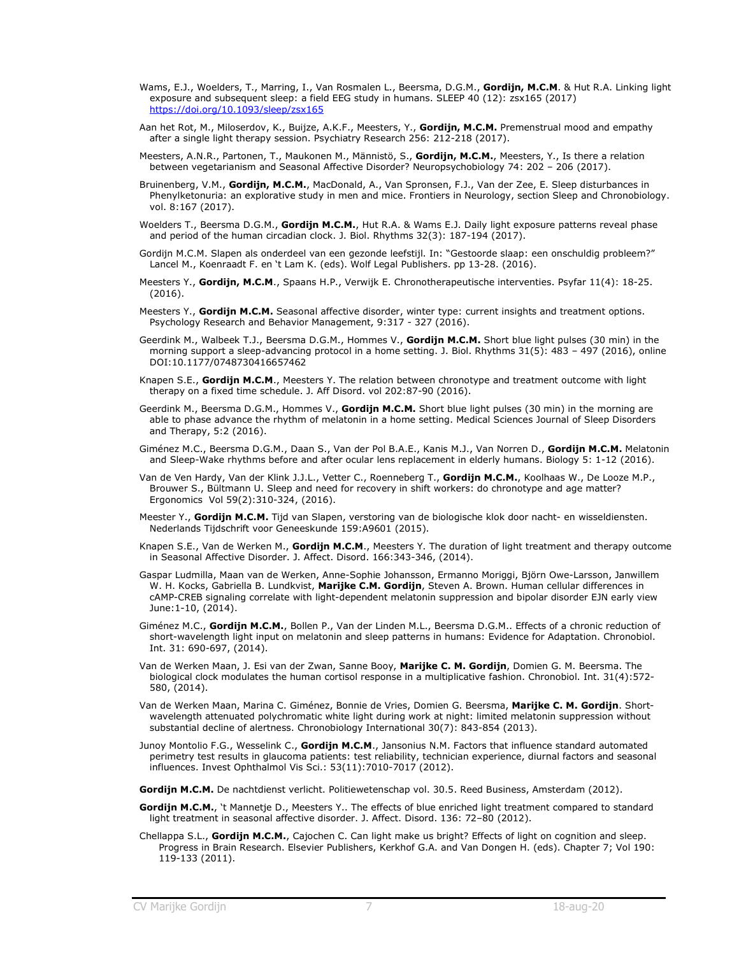- Wams, E.J., Woelders, T., Marring, I., Van Rosmalen L., Beersma, D.G.M., **Gordijn, M.C.M**. & Hut R.A. Linking light exposure and subsequent sleep: a field EEG study in humans. SLEEP 40 (12): zsx165 (2017) https://doi.org/10.1093/sleep/zsx165
- Aan het Rot, M., Miloserdov, K., Buijze, A.K.F., Meesters, Y., **Gordijn, M.C.M.** Premenstrual mood and empathy after a single light therapy session. Psychiatry Research 256: 212-218 (2017).
- Meesters, A.N.R., Partonen, T., Maukonen M., Männistö, S., **Gordijn, M.C.M.**, Meesters, Y., Is there a relation between vegetarianism and Seasonal Affective Disorder? Neuropsychobiology 74: 202 – 206 (2017).
- Bruinenberg, V.M., **Gordijn, M.C.M.**, MacDonald, A., Van Spronsen, F.J., Van der Zee, E. Sleep disturbances in Phenylketonuria: an explorative study in men and mice. Frontiers in Neurology, section Sleep and Chronobiology. vol. 8:167 (2017).
- Woelders T., Beersma D.G.M., **Gordijn M.C.M.**, Hut R.A. & Wams E.J. Daily light exposure patterns reveal phase and period of the human circadian clock. J. Biol. Rhythms 32(3): 187-194 (2017).
- Gordijn M.C.M. Slapen als onderdeel van een gezonde leefstijl. In: "Gestoorde slaap: een onschuldig probleem?" Lancel M., Koenraadt F. en 't Lam K. (eds). Wolf Legal Publishers. pp 13-28. (2016).
- Meesters Y., **Gordijn, M.C.M**., Spaans H.P., Verwijk E. Chronotherapeutische interventies. Psyfar 11(4): 18-25. (2016).
- Meesters Y., **Gordijn M.C.M.** Seasonal affective disorder, winter type: current insights and treatment options. Psychology Research and Behavior Management, 9:317 - 327 (2016).
- Geerdink M., Walbeek T.J., Beersma D.G.M., Hommes V., **Gordijn M.C.M.** Short blue light pulses (30 min) in the morning support a sleep-advancing protocol in a home setting. J. Biol. Rhythms 31(5): 483 – 497 (2016), online DOI:10.1177/0748730416657462
- Knapen S.E., **Gordijn M.C.M**., Meesters Y. The relation between chronotype and treatment outcome with light therapy on a fixed time schedule. J. Aff Disord. vol 202:87-90 (2016).
- Geerdink M., Beersma D.G.M., Hommes V., **Gordijn M.C.M.** Short blue light pulses (30 min) in the morning are able to phase advance the rhythm of melatonin in a home setting. Medical Sciences Journal of Sleep Disorders and Therapy, 5:2 (2016).
- Giménez M.C., Beersma D.G.M., Daan S., Van der Pol B.A.E., Kanis M.J., Van Norren D., **Gordijn M.C.M.** Melatonin and Sleep-Wake rhythms before and after ocular lens replacement in elderly humans. Biology 5: 1-12 (2016).
- Van de Ven Hardy, Van der Klink J.J.L., Vetter C., Roenneberg T., **Gordijn M.C.M.**, Koolhaas W., De Looze M.P., Brouwer S., Bültmann U. Sleep and need for recovery in shift workers: do chronotype and age matter? Ergonomics Vol 59(2):310-324, (2016).
- Meester Y., **Gordijn M.C.M.** Tijd van Slapen, verstoring van de biologische klok door nacht- en wisseldiensten. Nederlands Tijdschrift voor Geneeskunde 159:A9601 (2015).
- Knapen S.E., Van de Werken M., **Gordijn M.C.M**., Meesters Y. The duration of light treatment and therapy outcome in Seasonal Affective Disorder. J. Affect. Disord. 166:343-346, (2014).
- Gaspar Ludmilla, Maan van de Werken, Anne-Sophie Johansson, Ermanno Moriggi, Björn Owe-Larsson, Janwillem W. H. Kocks, Gabriella B. Lundkvist, **Marijke C.M. Gordijn**, Steven A. Brown. Human cellular differences in cAMP-CREB signaling correlate with light-dependent melatonin suppression and bipolar disorder EJN early view June:1-10, (2014).
- Giménez M.C., **Gordijn M.C.M.**, Bollen P., Van der Linden M.L., Beersma D.G.M.. Effects of a chronic reduction of short-wavelength light input on melatonin and sleep patterns in humans: Evidence for Adaptation. Chronobiol. Int. 31: 690-697, (2014).
- Van de Werken Maan, J. Esi van der Zwan, Sanne Booy, **Marijke C. M. Gordijn**, Domien G. M. Beersma. The biological clock modulates the human cortisol response in a multiplicative fashion. Chronobiol. Int. 31(4):572- 580, (2014).
- Van de Werken Maan, Marina C. Giménez, Bonnie de Vries, Domien G. Beersma, **Marijke C. M. Gordijn**. Shortwavelength attenuated polychromatic white light during work at night: limited melatonin suppression without substantial decline of alertness. Chronobiology International 30(7): 843-854 (2013).
- Junoy Montolio F.G., Wesselink C., **Gordijn M.C.M**., Jansonius N.M. Factors that influence standard automated perimetry test results in glaucoma patients: test reliability, technician experience, diurnal factors and seasonal influences. Invest Ophthalmol Vis Sci.: 53(11):7010-7017 (2012).
- **Gordijn M.C.M.** De nachtdienst verlicht. Politiewetenschap vol. 30.5. Reed Business, Amsterdam (2012).
- **Gordijn M.C.M.**, 't Mannetje D., Meesters Y.. The effects of blue enriched light treatment compared to standard light treatment in seasonal affective disorder. J. Affect. Disord. 136: 72–80 (2012).
- Chellappa S.L., **Gordijn M.C.M.**, Cajochen C. Can light make us bright? Effects of light on cognition and sleep. Progress in Brain Research. Elsevier Publishers, Kerkhof G.A. and Van Dongen H. (eds). Chapter 7; Vol 190: 119-133 (2011).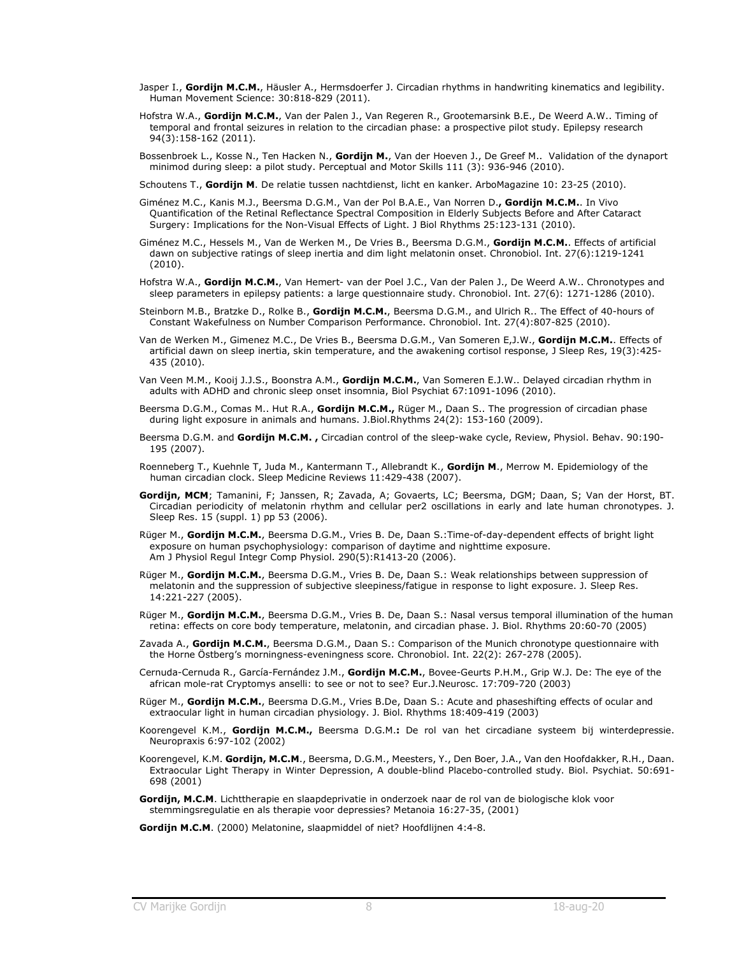- Jasper I., **Gordijn M.C.M.**, Häusler A., Hermsdoerfer J. Circadian rhythms in handwriting kinematics and legibility. Human Movement Science: 30:818-829 (2011).
- Hofstra W.A., **Gordijn M.C.M.**, Van der Palen J., Van Regeren R., Grootemarsink B.E., De Weerd A.W.. Timing of temporal and frontal seizures in relation to the circadian phase: a prospective pilot study. Epilepsy research 94(3):158-162 (2011).
- Bossenbroek L., Kosse N., Ten Hacken N., **Gordijn M.**, Van der Hoeven J., De Greef M.. Validation of the dynaport minimod during sleep: a pilot study. Perceptual and Motor Skills 111 (3): 936-946 (2010).

Schoutens T., **Gordijn M**. De relatie tussen nachtdienst, licht en kanker. ArboMagazine 10: 23-25 (2010).

- Giménez M.C., Kanis M.J., Beersma D.G.M., Van der Pol B.A.E., Van Norren D.**, Gordijn M.C.M.**. In Vivo Quantification of the Retinal Reflectance Spectral Composition in Elderly Subjects Before and After Cataract Surgery: Implications for the Non-Visual Effects of Light. J Biol Rhythms 25:123-131 (2010).
- Giménez M.C., Hessels M., Van de Werken M., De Vries B., Beersma D.G.M., **Gordijn M.C.M.**. Effects of artificial dawn on subjective ratings of sleep inertia and dim light melatonin onset. Chronobiol. Int. 27(6):1219-1241 (2010).
- Hofstra W.A., **Gordijn M.C.M.**, Van Hemert- van der Poel J.C., Van der Palen J., De Weerd A.W.. Chronotypes and sleep parameters in epilepsy patients: a large questionnaire study. Chronobiol. Int. 27(6): 1271-1286 (2010).
- Steinborn M.B., Bratzke D., Rolke B., **Gordijn M.C.M.**, Beersma D.G.M., and Ulrich R.. The Effect of 40-hours of Constant Wakefulness on Number Comparison Performance. Chronobiol. Int. 27(4):807-825 (2010).
- Van de Werken M., Gimenez M.C., De Vries B., Beersma D.G.M., Van Someren E,J.W., **Gordijn M.C.M.**. Effects of artificial dawn on sleep inertia, skin temperature, and the awakening cortisol response, J Sleep Res, 19(3):425- 435 (2010).
- Van Veen M.M., Kooij J.J.S., Boonstra A.M., **Gordijn M.C.M.**, Van Someren E.J.W.. Delayed circadian rhythm in adults with ADHD and chronic sleep onset insomnia, Biol Psychiat 67:1091-1096 (2010).
- Beersma D.G.M., Comas M.. Hut R.A., **Gordijn M.C.M.,** Rüger M., Daan S.. The progression of circadian phase during light exposure in animals and humans. J.Biol.Rhythms 24(2): 153-160 (2009).
- Beersma D.G.M. and **Gordijn M.C.M. ,** Circadian control of the sleep-wake cycle, Review, Physiol. Behav. 90:190- 195 (2007).
- Roenneberg T., Kuehnle T, Juda M., Kantermann T., Allebrandt K., **Gordijn M**., Merrow M. Epidemiology of the human circadian clock. Sleep Medicine Reviews 11:429-438 (2007).
- **Gordijn, MCM**; Tamanini, F; Janssen, R; Zavada, A; Govaerts, LC; Beersma, DGM; Daan, S; Van der Horst, BT. Circadian periodicity of melatonin rhythm and cellular per2 oscillations in early and late human chronotypes. J. Sleep Res. 15 (suppl. 1) pp 53 (2006).
- Rüger M., **Gordijn M.C.M.**, Beersma D.G.M., Vries B. De, Daan S.:Time-of-day-dependent effects of bright light exposure on human psychophysiology: comparison of daytime and nighttime exposure. Am J Physiol Regul Integr Comp Physiol. 290(5):R1413-20 (2006).
- Rüger M., **Gordijn M.C.M.**, Beersma D.G.M., Vries B. De, Daan S.: Weak relationships between suppression of melatonin and the suppression of subjective sleepiness/fatigue in response to light exposure. J. Sleep Res. 14:221-227 (2005).
- Rüger M., **Gordijn M.C.M.**, Beersma D.G.M., Vries B. De, Daan S.: Nasal versus temporal illumination of the human retina: effects on core body temperature, melatonin, and circadian phase. J. Biol. Rhythms 20:60-70 (2005)
- Zavada A., **Gordijn M.C.M.**, Beersma D.G.M., Daan S.: Comparison of the Munich chronotype questionnaire with the Horne Östberg's morningness-eveningness score. Chronobiol. Int. 22(2): 267-278 (2005).
- Cernuda-Cernuda R., García-Fernández J.M., **Gordijn M.C.M.**, Bovee-Geurts P.H.M., Grip W.J. De: The eye of the african mole-rat Cryptomys anselli: to see or not to see? Eur.J.Neurosc. 17:709-720 (2003)
- Rüger M., **Gordijn M.C.M.**, Beersma D.G.M., Vries B.De, Daan S.: Acute and phaseshifting effects of ocular and extraocular light in human circadian physiology. J. Biol. Rhythms 18:409-419 (2003)
- Koorengevel K.M., **Gordijn M.C.M.,** Beersma D.G.M.**:** De rol van het circadiane systeem bij winterdepressie. Neuropraxis 6:97-102 (2002)
- Koorengevel, K.M. **Gordijn, M.C.M**., Beersma, D.G.M., Meesters, Y., Den Boer, J.A., Van den Hoofdakker, R.H., Daan. Extraocular Light Therapy in Winter Depression, A double-blind Placebo-controlled study. Biol. Psychiat. 50:691- 698 (2001)
- **Gordijn, M.C.M**. Lichttherapie en slaapdeprivatie in onderzoek naar de rol van de biologische klok voor stemmingsregulatie en als therapie voor depressies? Metanoia 16:27-35, (2001)

**Gordijn M.C.M**. (2000) Melatonine, slaapmiddel of niet? Hoofdlijnen 4:4-8.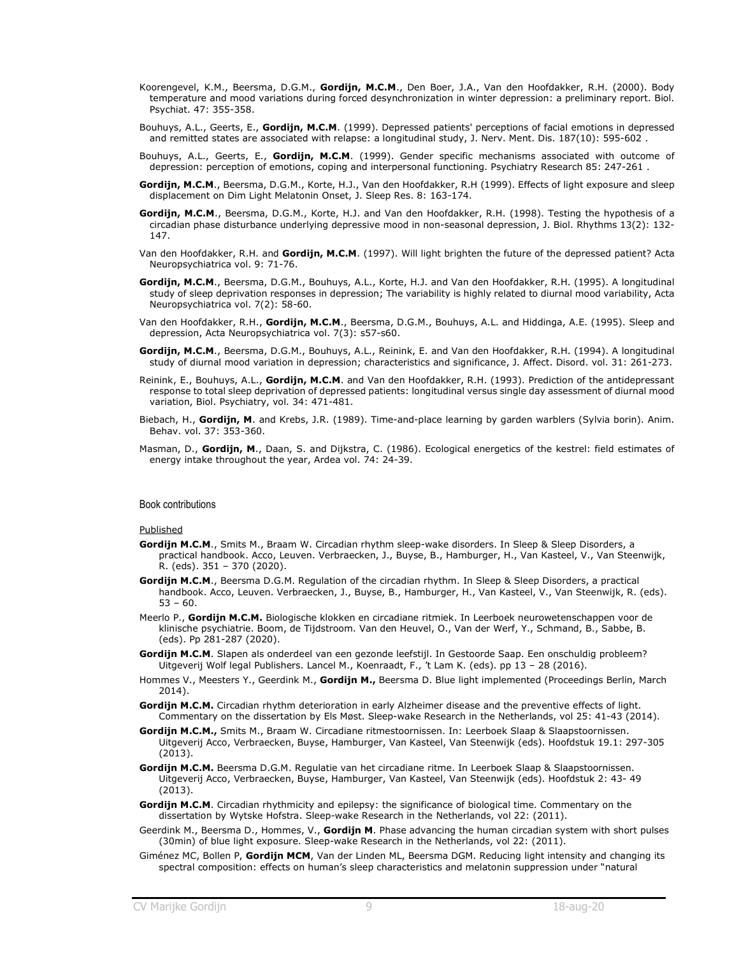- Koorengevel, K.M., Beersma, D.G.M., **Gordijn, M.C.M**., Den Boer, J.A., Van den Hoofdakker, R.H. (2000). Body temperature and mood variations during forced desynchronization in winter depression: a preliminary report. Biol. Psychiat. 47: 355-358.
- Bouhuys, A.L., Geerts, E., **Gordijn, M.C.M**. (1999). Depressed patients' perceptions of facial emotions in depressed and remitted states are associated with relapse: a longitudinal study, J. Nerv. Ment. Dis. 187(10): 595-602 .
- Bouhuys, A.L., Geerts, E., **Gordijn, M.C.M**. (1999). Gender specific mechanisms associated with outcome of depression: perception of emotions, coping and interpersonal functioning. Psychiatry Research 85: 247-261 .
- **Gordijn, M.C.M**., Beersma, D.G.M., Korte, H.J., Van den Hoofdakker, R.H (1999). Effects of light exposure and sleep displacement on Dim Light Melatonin Onset, J. Sleep Res. 8: 163-174.
- **Gordijn, M.C.M**., Beersma, D.G.M., Korte, H.J. and Van den Hoofdakker, R.H. (1998). Testing the hypothesis of a circadian phase disturbance underlying depressive mood in non-seasonal depression, J. Biol. Rhythms 13(2): 132- 147.
- Van den Hoofdakker, R.H. and **Gordijn, M.C.M**. (1997). Will light brighten the future of the depressed patient? Acta Neuropsychiatrica vol. 9: 71-76.
- **Gordijn, M.C.M**., Beersma, D.G.M., Bouhuys, A.L., Korte, H.J. and Van den Hoofdakker, R.H. (1995). A longitudinal study of sleep deprivation responses in depression; The variability is highly related to diurnal mood variability, Acta Neuropsychiatrica vol. 7(2): 58-60.
- Van den Hoofdakker, R.H., **Gordijn, M.C.M**., Beersma, D.G.M., Bouhuys, A.L. and Hiddinga, A.E. (1995). Sleep and depression, Acta Neuropsychiatrica vol. 7(3): s57-s60.
- **Gordijn, M.C.M**., Beersma, D.G.M., Bouhuys, A.L., Reinink, E. and Van den Hoofdakker, R.H. (1994). A longitudinal study of diurnal mood variation in depression; characteristics and significance, J. Affect. Disord. vol. 31: 261-273.
- Reinink, E., Bouhuys, A.L., **Gordijn, M.C.M**. and Van den Hoofdakker, R.H. (1993). Prediction of the antidepressant response to total sleep deprivation of depressed patients: longitudinal versus single day assessment of diurnal mood variation, Biol. Psychiatry, vol. 34: 471-481.
- Biebach, H., **Gordijn, M**. and Krebs, J.R. (1989). Time-and-place learning by garden warblers (Sylvia borin). Anim. Behav. vol. 37: 353-360.
- Masman, D., **Gordijn, M**., Daan, S. and Dijkstra, C. (1986). Ecological energetics of the kestrel: field estimates of energy intake throughout the year, Ardea vol. 74: 24-39.

#### Book contributions

#### Published

- Gordijn M.C.M., Smits M., Braam W. Circadian rhythm sleep-wake disorders. In Sleep & Sleep Disorders, a practical handbook. Acco, Leuven. Verbraecken, J., Buyse, B., Hamburger, H., Van Kasteel, V., Van Steenwijk, R. (eds). 351 – 370 (2020).
- **Gordijn M.C.M**., Beersma D.G.M. Regulation of the circadian rhythm. In Sleep & Sleep Disorders, a practical handbook. Acco, Leuven. Verbraecken, J., Buyse, B., Hamburger, H., Van Kasteel, V., Van Steenwijk, R. (eds).  $53 - 60.$
- Meerlo P., **Gordijn M.C.M.** Biologische klokken en circadiane ritmiek. In Leerboek neurowetenschappen voor de klinische psychiatrie. Boom, de Tijdstroom. Van den Heuvel, O., Van der Werf, Y., Schmand, B., Sabbe, B. (eds). Pp 281-287 (2020).
- **Gordijn M.C.M**. Slapen als onderdeel van een gezonde leefstijl. In Gestoorde Saap. Een onschuldig probleem? Uitgeverij Wolf legal Publishers. Lancel M., Koenraadt, F., 't Lam K. (eds). pp 13 – 28 (2016).
- Hommes V., Meesters Y., Geerdink M., **Gordijn M.,** Beersma D. Blue light implemented (Proceedings Berlin, March 2014).
- **Gordijn M.C.M.** Circadian rhythm deterioration in early Alzheimer disease and the preventive effects of light. Commentary on the dissertation by Els Møst. Sleep-wake Research in the Netherlands, vol 25: 41-43 (2014).
- **Gordijn M.C.M.,** Smits M., Braam W. Circadiane ritmestoornissen. In: Leerboek Slaap & Slaapstoornissen. Uitgeverij Acco, Verbraecken, Buyse, Hamburger, Van Kasteel, Van Steenwijk (eds). Hoofdstuk 19.1: 297-305 (2013).
- Gordijn M.C.M. Beersma D.G.M. Regulatie van het circadiane ritme. In Leerboek Slaap & Slaapstoornissen. Uitgeverij Acco, Verbraecken, Buyse, Hamburger, Van Kasteel, Van Steenwijk (eds). Hoofdstuk 2: 43- 49 (2013).
- **Gordijn M.C.M**. Circadian rhythmicity and epilepsy: the significance of biological time. Commentary on the dissertation by Wytske Hofstra. Sleep-wake Research in the Netherlands, vol 22: (2011).
- Geerdink M., Beersma D., Hommes, V., **Gordijn M**. Phase advancing the human circadian system with short pulses (30min) of blue light exposure. Sleep-wake Research in the Netherlands, vol 22: (2011).
- Giménez MC, Bollen P, **Gordijn MCM**, Van der Linden ML, Beersma DGM. Reducing light intensity and changing its spectral composition: effects on human's sleep characteristics and melatonin suppression under "natural